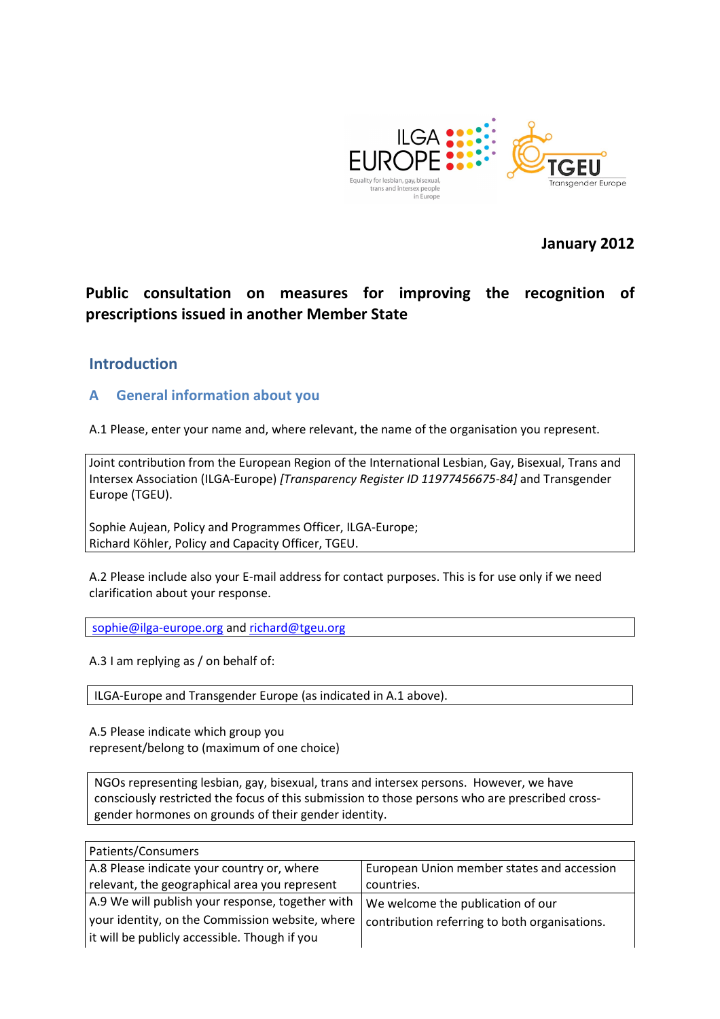

January 2012

## Public consultation on measures for improving the recognition of prescriptions issued in another Member State

### Introduction

### A General information about you

A.1 Please, enter your name and, where relevant, the name of the organisation you represent.

Joint contribution from the European Region of the International Lesbian, Gay, Bisexual, Trans and Intersex Association (ILGA-Europe) [Transparency Register ID 11977456675-84] and Transgender Europe (TGEU).

Sophie Aujean, Policy and Programmes Officer, ILGA-Europe; Richard Köhler, Policy and Capacity Officer, TGEU.

A.2 Please include also your E-mail address for contact purposes. This is for use only if we need clarification about your response.

sophie@ilga-europe.org and richard@tgeu.org

A.3 I am replying as / on behalf of:

ILGA-Europe and Transgender Europe (as indicated in A.1 above).

A.5 Please indicate which group you represent/belong to (maximum of one choice)

NGOs representing lesbian, gay, bisexual, trans and intersex persons. However, we have consciously restricted the focus of this submission to those persons who are prescribed crossgender hormones on grounds of their gender identity.

| Patients/Consumers                               |                                               |
|--------------------------------------------------|-----------------------------------------------|
| A.8 Please indicate your country or, where       | European Union member states and accession    |
| relevant, the geographical area you represent    | countries.                                    |
| A.9 We will publish your response, together with | We welcome the publication of our             |
| your identity, on the Commission website, where  | contribution referring to both organisations. |
| it will be publicly accessible. Though if you    |                                               |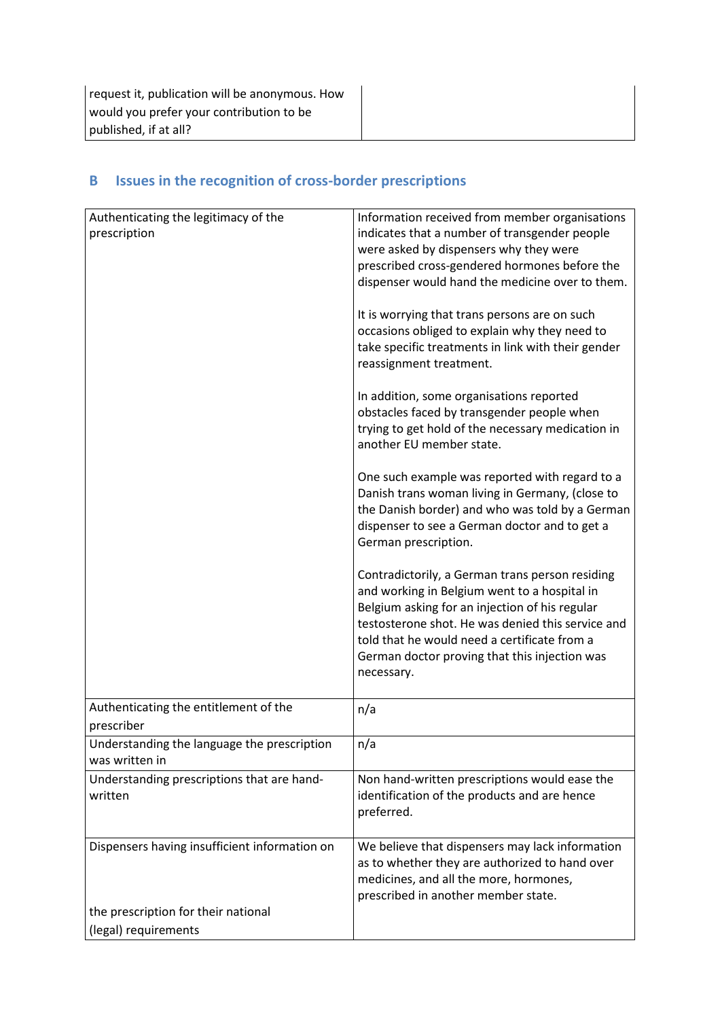| Authenticating the legitimacy of the          | Information received from member organisations                                |
|-----------------------------------------------|-------------------------------------------------------------------------------|
| prescription                                  | indicates that a number of transgender people                                 |
|                                               | were asked by dispensers why they were                                        |
|                                               | prescribed cross-gendered hormones before the                                 |
|                                               | dispenser would hand the medicine over to them.                               |
|                                               | It is worrying that trans persons are on such                                 |
|                                               | occasions obliged to explain why they need to                                 |
|                                               | take specific treatments in link with their gender<br>reassignment treatment. |
|                                               | In addition, some organisations reported                                      |
|                                               | obstacles faced by transgender people when                                    |
|                                               | trying to get hold of the necessary medication in                             |
|                                               | another EU member state.                                                      |
|                                               | One such example was reported with regard to a                                |
|                                               | Danish trans woman living in Germany, (close to                               |
|                                               | the Danish border) and who was told by a German                               |
|                                               | dispenser to see a German doctor and to get a<br>German prescription.         |
|                                               | Contradictorily, a German trans person residing                               |
|                                               | and working in Belgium went to a hospital in                                  |
|                                               | Belgium asking for an injection of his regular                                |
|                                               | testosterone shot. He was denied this service and                             |
|                                               | told that he would need a certificate from a                                  |
|                                               | German doctor proving that this injection was                                 |
|                                               | necessary.                                                                    |
| Authenticating the entitlement of the         | n/a                                                                           |
| prescriber                                    |                                                                               |
| Understanding the language the prescription   | n/a                                                                           |
| was written in                                |                                                                               |
| Understanding prescriptions that are hand-    | Non hand-written prescriptions would ease the                                 |
| written                                       | identification of the products and are hence                                  |
|                                               | preferred.                                                                    |
| Dispensers having insufficient information on | We believe that dispensers may lack information                               |
|                                               | as to whether they are authorized to hand over                                |
|                                               | medicines, and all the more, hormones,                                        |
|                                               | prescribed in another member state.                                           |
| the prescription for their national           |                                                                               |
| (legal) requirements                          |                                                                               |

# B Issues in the recognition of cross-border prescriptions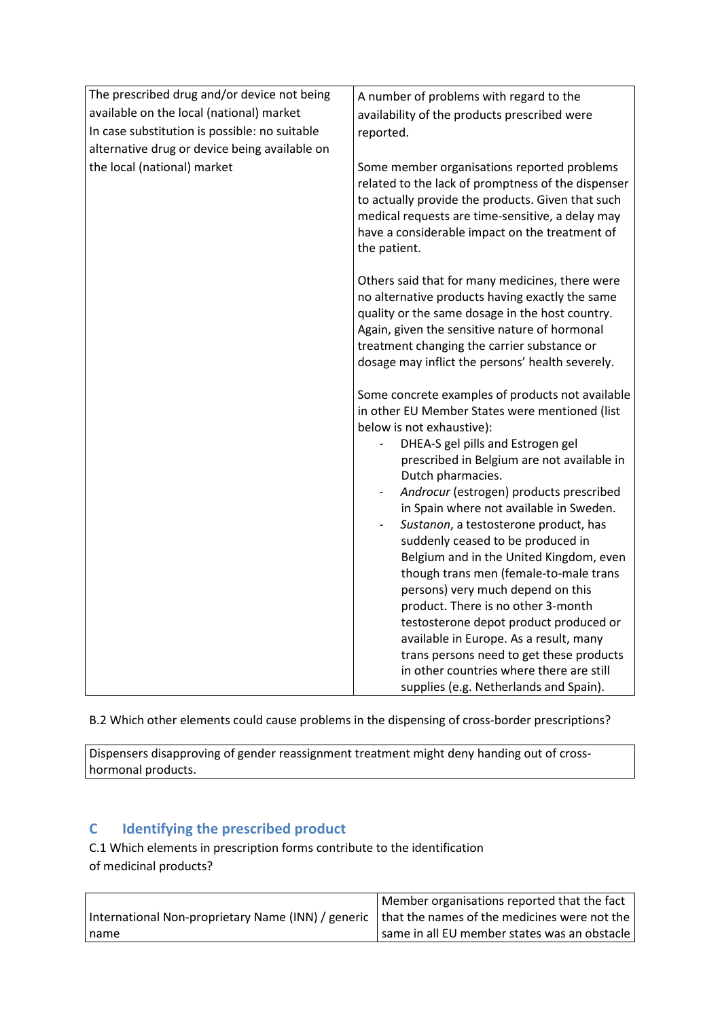| The prescribed drug and/or device not being   | A number of problems with regard to the                                                                                                                                                                                                                                                                   |
|-----------------------------------------------|-----------------------------------------------------------------------------------------------------------------------------------------------------------------------------------------------------------------------------------------------------------------------------------------------------------|
| available on the local (national) market      |                                                                                                                                                                                                                                                                                                           |
| In case substitution is possible: no suitable | availability of the products prescribed were                                                                                                                                                                                                                                                              |
|                                               | reported.                                                                                                                                                                                                                                                                                                 |
| alternative drug or device being available on |                                                                                                                                                                                                                                                                                                           |
| the local (national) market                   | Some member organisations reported problems<br>related to the lack of promptness of the dispenser<br>to actually provide the products. Given that such<br>medical requests are time-sensitive, a delay may<br>have a considerable impact on the treatment of<br>the patient.                              |
|                                               | Others said that for many medicines, there were<br>no alternative products having exactly the same<br>quality or the same dosage in the host country.<br>Again, given the sensitive nature of hormonal<br>treatment changing the carrier substance or<br>dosage may inflict the persons' health severely. |
|                                               | Some concrete examples of products not available                                                                                                                                                                                                                                                          |
|                                               | in other EU Member States were mentioned (list                                                                                                                                                                                                                                                            |
|                                               | below is not exhaustive):                                                                                                                                                                                                                                                                                 |
|                                               | DHEA-S gel pills and Estrogen gel                                                                                                                                                                                                                                                                         |
|                                               | prescribed in Belgium are not available in                                                                                                                                                                                                                                                                |
|                                               | Dutch pharmacies.                                                                                                                                                                                                                                                                                         |
|                                               | Androcur (estrogen) products prescribed                                                                                                                                                                                                                                                                   |
|                                               | in Spain where not available in Sweden.                                                                                                                                                                                                                                                                   |
|                                               | Sustanon, a testosterone product, has                                                                                                                                                                                                                                                                     |
|                                               | suddenly ceased to be produced in<br>Belgium and in the United Kingdom, even                                                                                                                                                                                                                              |
|                                               | though trans men (female-to-male trans                                                                                                                                                                                                                                                                    |
|                                               | persons) very much depend on this                                                                                                                                                                                                                                                                         |
|                                               | product. There is no other 3-month                                                                                                                                                                                                                                                                        |
|                                               | testosterone depot product produced or                                                                                                                                                                                                                                                                    |
|                                               | available in Europe. As a result, many                                                                                                                                                                                                                                                                    |
|                                               | trans persons need to get these products                                                                                                                                                                                                                                                                  |
|                                               | in other countries where there are still                                                                                                                                                                                                                                                                  |
|                                               | supplies (e.g. Netherlands and Spain).                                                                                                                                                                                                                                                                    |

B.2 Which other elements could cause problems in the dispensing of cross-border prescriptions?

Dispensers disapproving of gender reassignment treatment might deny handing out of crosshormonal products.

### C Identifying the prescribed product

C.1 Which elements in prescription forms contribute to the identification of medicinal products?

|                                                                                                   | Member organisations reported that the fact  |
|---------------------------------------------------------------------------------------------------|----------------------------------------------|
| International Non-proprietary Name (INN) / generic   that the names of the medicines were not the |                                              |
| I name                                                                                            | same in all EU member states was an obstacle |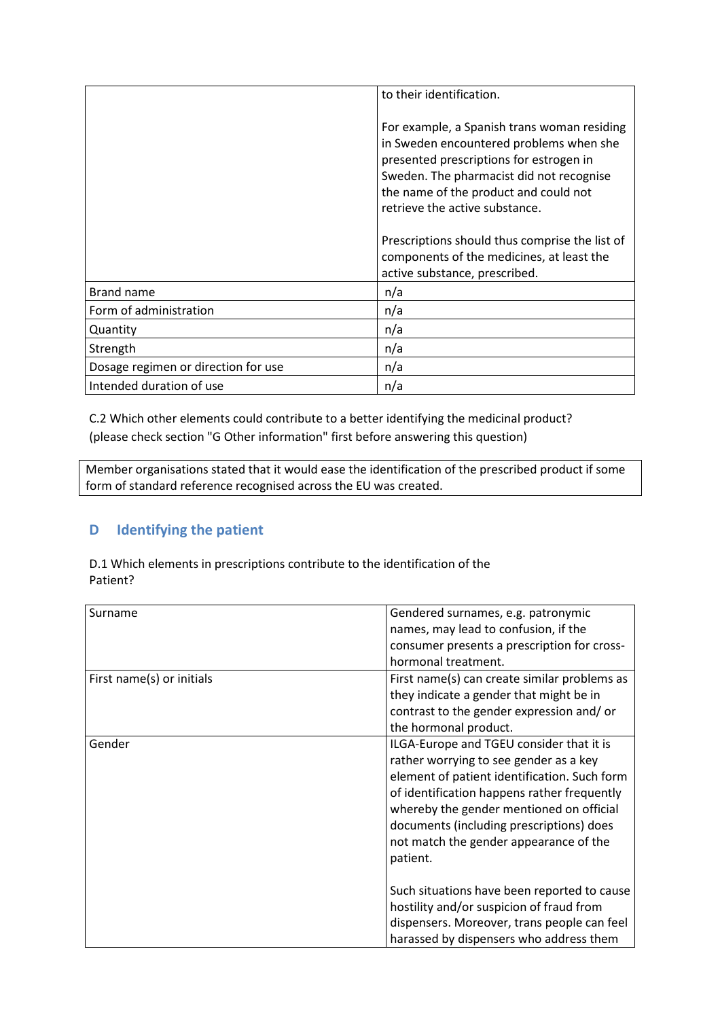|                                     | to their identification.                                                                                                                                                                                                                                 |
|-------------------------------------|----------------------------------------------------------------------------------------------------------------------------------------------------------------------------------------------------------------------------------------------------------|
|                                     | For example, a Spanish trans woman residing<br>in Sweden encountered problems when she<br>presented prescriptions for estrogen in<br>Sweden. The pharmacist did not recognise<br>the name of the product and could not<br>retrieve the active substance. |
|                                     | Prescriptions should thus comprise the list of<br>components of the medicines, at least the<br>active substance, prescribed.                                                                                                                             |
| Brand name                          | n/a                                                                                                                                                                                                                                                      |
| Form of administration              | n/a                                                                                                                                                                                                                                                      |
| Quantity                            | n/a                                                                                                                                                                                                                                                      |
| Strength                            | n/a                                                                                                                                                                                                                                                      |
| Dosage regimen or direction for use | n/a                                                                                                                                                                                                                                                      |
| Intended duration of use            | n/a                                                                                                                                                                                                                                                      |

C.2 Which other elements could contribute to a better identifying the medicinal product? (please check section "G Other information" first before answering this question)

Member organisations stated that it would ease the identification of the prescribed product if some form of standard reference recognised across the EU was created.

### D Identifying the patient

D.1 Which elements in prescriptions contribute to the identification of the Patient?

| Surname                   | Gendered surnames, e.g. patronymic           |
|---------------------------|----------------------------------------------|
|                           | names, may lead to confusion, if the         |
|                           | consumer presents a prescription for cross-  |
|                           | hormonal treatment.                          |
| First name(s) or initials | First name(s) can create similar problems as |
|                           | they indicate a gender that might be in      |
|                           | contrast to the gender expression and/or     |
|                           | the hormonal product.                        |
| Gender                    | ILGA-Europe and TGEU consider that it is     |
|                           | rather worrying to see gender as a key       |
|                           | element of patient identification. Such form |
|                           | of identification happens rather frequently  |
|                           | whereby the gender mentioned on official     |
|                           | documents (including prescriptions) does     |
|                           | not match the gender appearance of the       |
|                           | patient.                                     |
|                           |                                              |
|                           | Such situations have been reported to cause  |
|                           | hostility and/or suspicion of fraud from     |
|                           | dispensers. Moreover, trans people can feel  |
|                           | harassed by dispensers who address them      |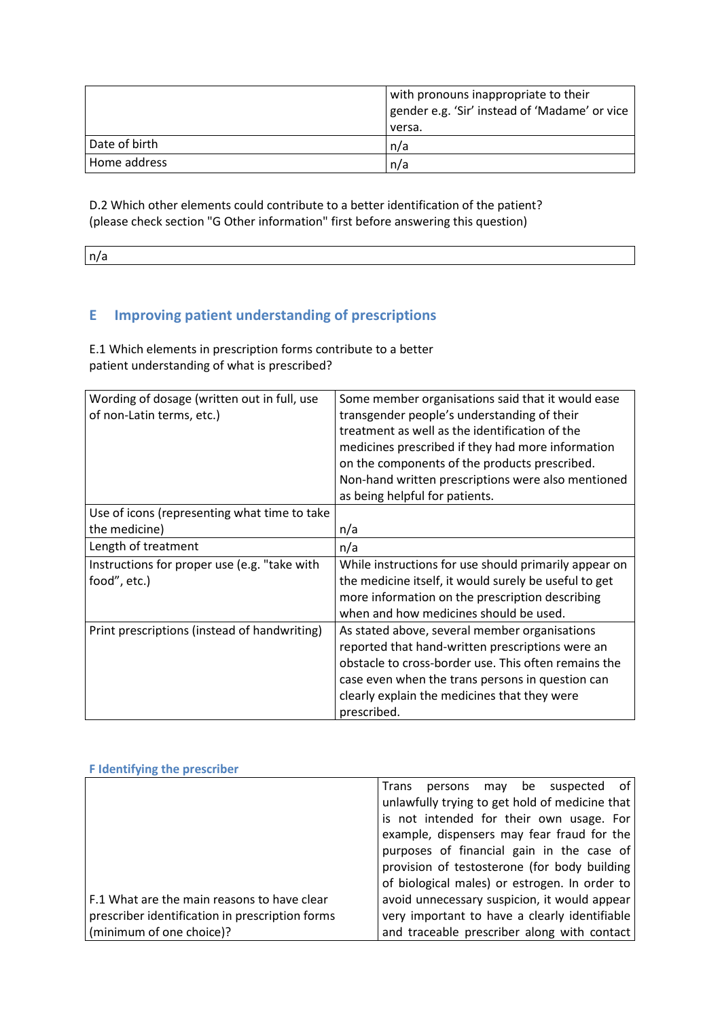|               | with pronouns inappropriate to their<br>gender e.g. 'Sir' instead of 'Madame' or vice<br>versa. |
|---------------|-------------------------------------------------------------------------------------------------|
| Date of birth | ∣n/a                                                                                            |
| Home address  | n/a                                                                                             |

D.2 Which other elements could contribute to a better identification of the patient? (please check section "G Other information" first before answering this question)

n/a

# E Improving patient understanding of prescriptions

E.1 Which elements in prescription forms contribute to a better patient understanding of what is prescribed?

| Wording of dosage (written out in full, use<br>of non-Latin terms, etc.) | Some member organisations said that it would ease<br>transgender people's understanding of their<br>treatment as well as the identification of the<br>medicines prescribed if they had more information<br>on the components of the products prescribed.<br>Non-hand written prescriptions were also mentioned |
|--------------------------------------------------------------------------|----------------------------------------------------------------------------------------------------------------------------------------------------------------------------------------------------------------------------------------------------------------------------------------------------------------|
|                                                                          | as being helpful for patients.                                                                                                                                                                                                                                                                                 |
| Use of icons (representing what time to take                             |                                                                                                                                                                                                                                                                                                                |
| the medicine)                                                            | n/a                                                                                                                                                                                                                                                                                                            |
| Length of treatment                                                      | n/a                                                                                                                                                                                                                                                                                                            |
| Instructions for proper use (e.g. "take with                             | While instructions for use should primarily appear on                                                                                                                                                                                                                                                          |
| food", etc.)                                                             | the medicine itself, it would surely be useful to get                                                                                                                                                                                                                                                          |
|                                                                          | more information on the prescription describing                                                                                                                                                                                                                                                                |
|                                                                          | when and how medicines should be used.                                                                                                                                                                                                                                                                         |
| Print prescriptions (instead of handwriting)                             | As stated above, several member organisations                                                                                                                                                                                                                                                                  |
|                                                                          | reported that hand-written prescriptions were an                                                                                                                                                                                                                                                               |
|                                                                          | obstacle to cross-border use. This often remains the                                                                                                                                                                                                                                                           |
|                                                                          | case even when the trans persons in question can                                                                                                                                                                                                                                                               |
|                                                                          | clearly explain the medicines that they were                                                                                                                                                                                                                                                                   |
|                                                                          | prescribed.                                                                                                                                                                                                                                                                                                    |

| <b>F</b> Identifying the prescriber             |                                                      |
|-------------------------------------------------|------------------------------------------------------|
|                                                 | of<br><b>Trans</b><br>be suspected<br>persons<br>may |
|                                                 | unlawfully trying to get hold of medicine that       |
|                                                 | is not intended for their own usage. For             |
|                                                 | example, dispensers may fear fraud for the           |
|                                                 | purposes of financial gain in the case of            |
|                                                 | provision of testosterone (for body building         |
|                                                 | of biological males) or estrogen. In order to        |
| F.1 What are the main reasons to have clear     | avoid unnecessary suspicion, it would appear         |
| prescriber identification in prescription forms | very important to have a clearly identifiable        |
| (minimum of one choice)?                        | and traceable prescriber along with contact          |

## F Identifying the prescriber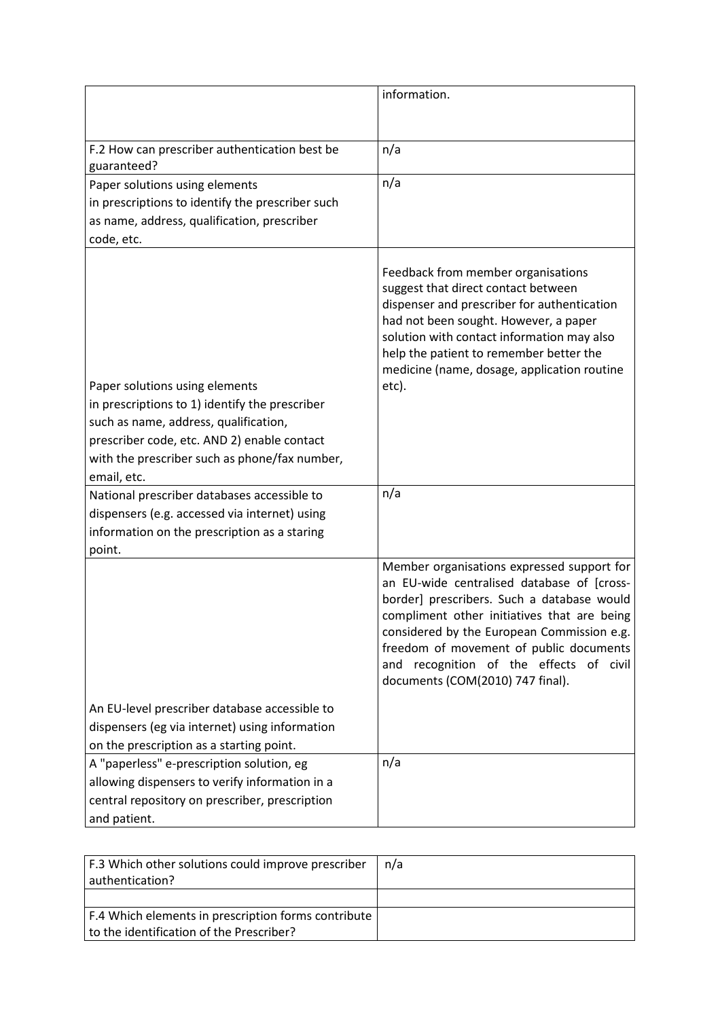|                                                                                                                                                                                                                                          | information.                                                                                                                                                                                                                                                                                                                                                  |
|------------------------------------------------------------------------------------------------------------------------------------------------------------------------------------------------------------------------------------------|---------------------------------------------------------------------------------------------------------------------------------------------------------------------------------------------------------------------------------------------------------------------------------------------------------------------------------------------------------------|
| F.2 How can prescriber authentication best be<br>guaranteed?                                                                                                                                                                             | n/a                                                                                                                                                                                                                                                                                                                                                           |
| Paper solutions using elements<br>in prescriptions to identify the prescriber such<br>as name, address, qualification, prescriber<br>code, etc.                                                                                          | n/a                                                                                                                                                                                                                                                                                                                                                           |
| Paper solutions using elements<br>in prescriptions to 1) identify the prescriber<br>such as name, address, qualification,<br>prescriber code, etc. AND 2) enable contact<br>with the prescriber such as phone/fax number,<br>email, etc. | Feedback from member organisations<br>suggest that direct contact between<br>dispenser and prescriber for authentication<br>had not been sought. However, a paper<br>solution with contact information may also<br>help the patient to remember better the<br>medicine (name, dosage, application routine<br>etc).                                            |
| National prescriber databases accessible to<br>dispensers (e.g. accessed via internet) using<br>information on the prescription as a staring<br>point.                                                                                   | n/a                                                                                                                                                                                                                                                                                                                                                           |
|                                                                                                                                                                                                                                          | Member organisations expressed support for<br>an EU-wide centralised database of [cross-<br>border] prescribers. Such a database would<br>compliment other initiatives that are being<br>considered by the European Commission e.g.<br>freedom of movement of public documents<br>and recognition of the effects of civil<br>documents (COM(2010) 747 final). |
| An EU-level prescriber database accessible to<br>dispensers (eg via internet) using information<br>on the prescription as a starting point.                                                                                              |                                                                                                                                                                                                                                                                                                                                                               |
| A "paperless" e-prescription solution, eg<br>allowing dispensers to verify information in a<br>central repository on prescriber, prescription<br>and patient.                                                                            | n/a                                                                                                                                                                                                                                                                                                                                                           |

| F.3 Which other solutions could improve prescriber  | n/a |
|-----------------------------------------------------|-----|
| authentication?                                     |     |
|                                                     |     |
| F.4 Which elements in prescription forms contribute |     |
| to the identification of the Prescriber?            |     |